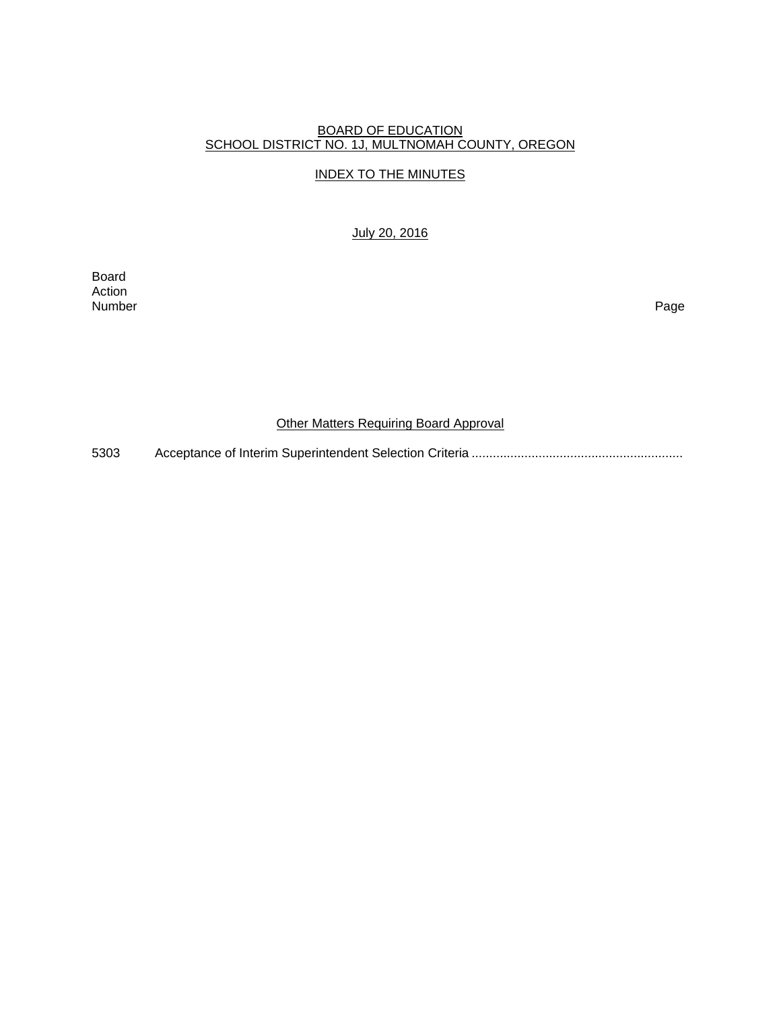## BOARD OF EDUCATION SCHOOL DISTRICT NO. 1J, MULTNOMAH COUNTY, OREGON

## INDEX TO THE MINUTES

## July 20, 2016

Board Action<br>Number Number Page

## Other Matters Requiring Board Approval

5303 Acceptance of Interim Superintendent Selection Criteria ............................................................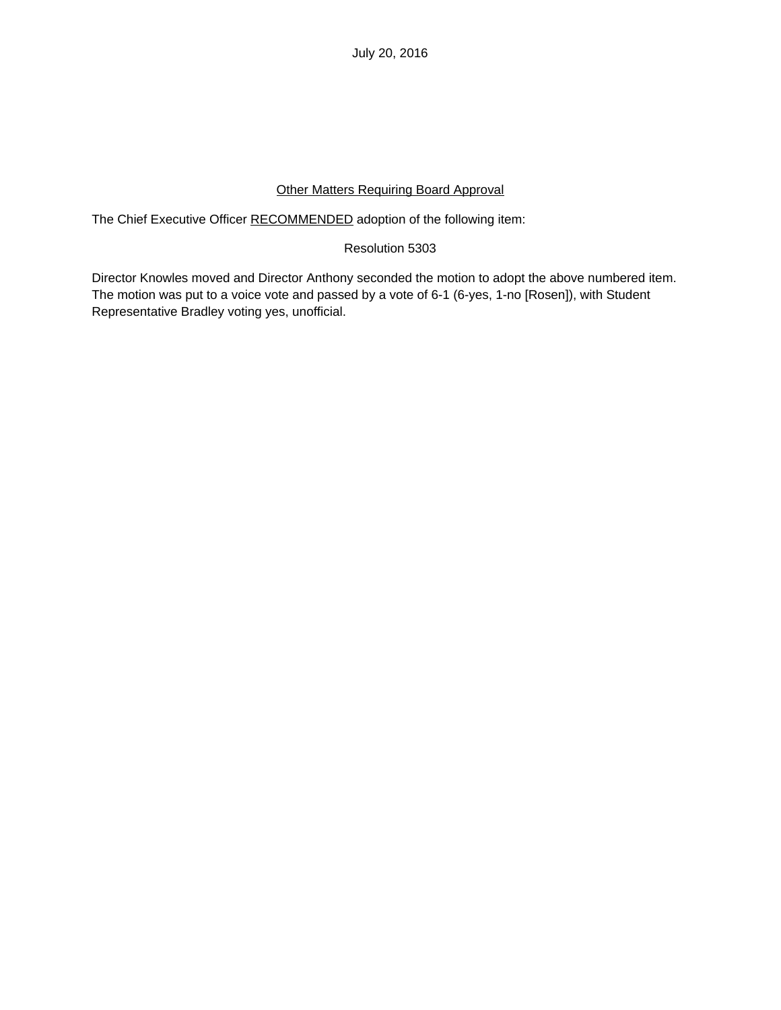July 20, 2016

# Other Matters Requiring Board Approval

The Chief Executive Officer RECOMMENDED adoption of the following item:

# Resolution 5303

Director Knowles moved and Director Anthony seconded the motion to adopt the above numbered item. The motion was put to a voice vote and passed by a vote of 6-1 (6-yes, 1-no [Rosen]), with Student Representative Bradley voting yes, unofficial.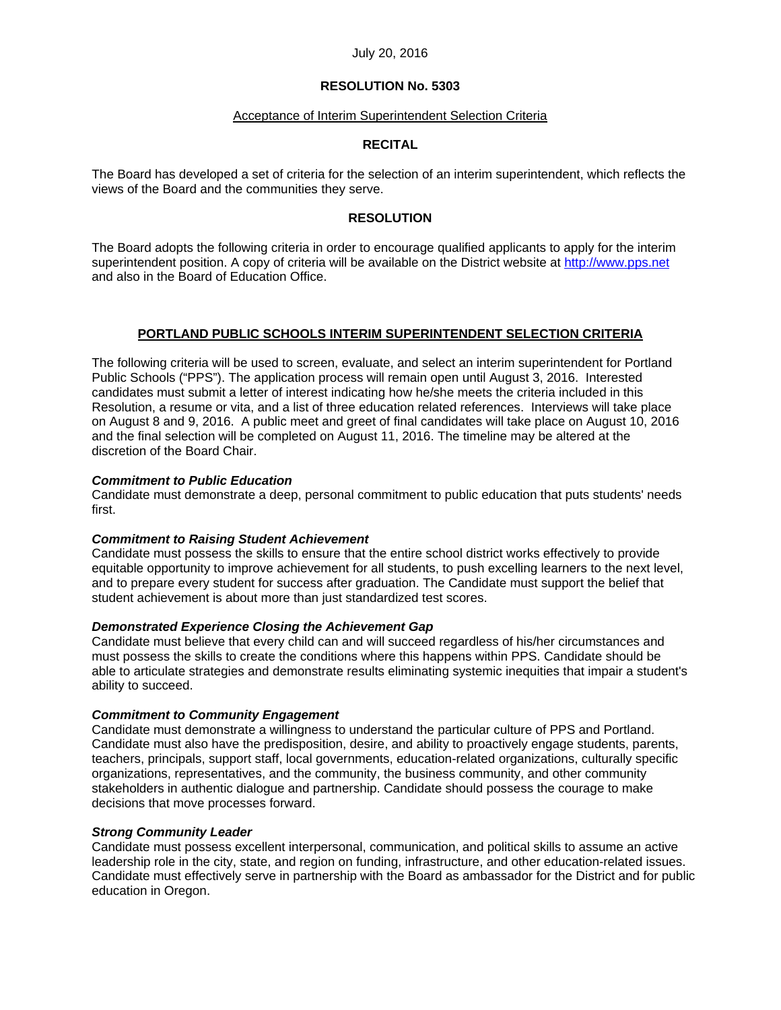#### July 20, 2016

# **RESOLUTION No. 5303**

#### Acceptance of Interim Superintendent Selection Criteria

#### **RECITAL**

The Board has developed a set of criteria for the selection of an interim superintendent, which reflects the views of the Board and the communities they serve.

## **RESOLUTION**

The Board adopts the following criteria in order to encourage qualified applicants to apply for the interim superintendent position. A copy of criteria will be available on the District website at http://www.pps.net and also in the Board of Education Office.

## **PORTLAND PUBLIC SCHOOLS INTERIM SUPERINTENDENT SELECTION CRITERIA**

The following criteria will be used to screen, evaluate, and select an interim superintendent for Portland Public Schools ("PPS"). The application process will remain open until August 3, 2016. Interested candidates must submit a letter of interest indicating how he/she meets the criteria included in this Resolution, a resume or vita, and a list of three education related references. Interviews will take place on August 8 and 9, 2016. A public meet and greet of final candidates will take place on August 10, 2016 and the final selection will be completed on August 11, 2016. The timeline may be altered at the discretion of the Board Chair.

#### *Commitment to Public Education*

Candidate must demonstrate a deep, personal commitment to public education that puts students' needs first.

#### *Commitment to Raising Student Achievement*

Candidate must possess the skills to ensure that the entire school district works effectively to provide equitable opportunity to improve achievement for all students, to push excelling learners to the next level, and to prepare every student for success after graduation. The Candidate must support the belief that student achievement is about more than just standardized test scores.

#### *Demonstrated Experience Closing the Achievement Gap*

Candidate must believe that every child can and will succeed regardless of his/her circumstances and must possess the skills to create the conditions where this happens within PPS. Candidate should be able to articulate strategies and demonstrate results eliminating systemic inequities that impair a student's ability to succeed.

#### *Commitment to Community Engagement*

Candidate must demonstrate a willingness to understand the particular culture of PPS and Portland. Candidate must also have the predisposition, desire, and ability to proactively engage students, parents, teachers, principals, support staff, local governments, education-related organizations, culturally specific organizations, representatives, and the community, the business community, and other community stakeholders in authentic dialogue and partnership. Candidate should possess the courage to make decisions that move processes forward.

## *Strong Community Leader*

Candidate must possess excellent interpersonal, communication, and political skills to assume an active leadership role in the city, state, and region on funding, infrastructure, and other education-related issues. Candidate must effectively serve in partnership with the Board as ambassador for the District and for public education in Oregon.